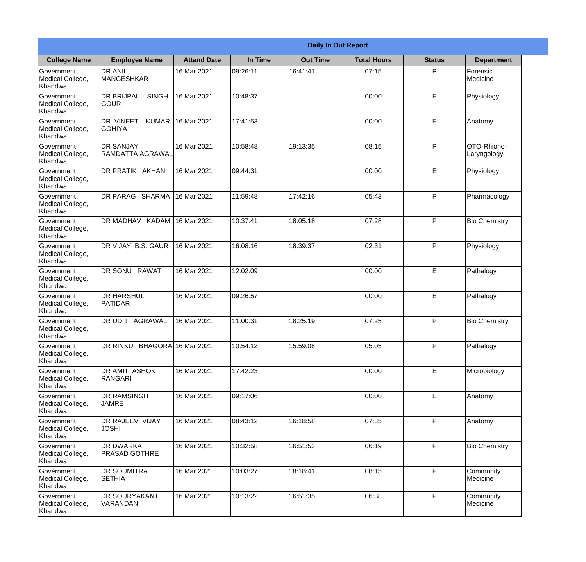|                                                  |                                                     |                    |          | <b>Daily In Out Report</b> |                    |               |                            |
|--------------------------------------------------|-----------------------------------------------------|--------------------|----------|----------------------------|--------------------|---------------|----------------------------|
| <b>College Name</b>                              | <b>Employee Name</b>                                | <b>Attand Date</b> | In Time  | <b>Out Time</b>            | <b>Total Hours</b> | <b>Status</b> | <b>Department</b>          |
| Government<br>Medical College,<br>Khandwa        | <b>DR ANIL</b><br><b>MANGESHKAR</b>                 | 16 Mar 2021        | 09:26:11 | 16:41:41                   | 07:15              | P             | Forensic<br>Medicine       |
| Government<br>Medical College,<br>Khandwa        | <b>DR BRIJPAL</b><br><b>SINGH</b><br> GOUR          | 16 Mar 2021        | 10:48:37 |                            | 00:00              | E             | Physiology                 |
| <b>Government</b><br>Medical College,<br>Khandwa | <b>DR VINEET</b><br><b>KUMAR</b><br><b>I</b> GOHIYA | 16 Mar 2021        | 17:41:53 |                            | 00:00              | E             | Anatomy                    |
| Government<br>Medical College,<br>Khandwa        | <b>DR SANJAY</b><br><b>RAMDATTA AGRAWAL</b>         | 16 Mar 2021        | 10:58:48 | 19:13:35                   | 08:15              | P             | OTO-Rhiono-<br>Laryngology |
| Government<br>Medical College,<br>Khandwa        | <b>IDR PRATIK AKHANI</b>                            | 16 Mar 2021        | 09:44:31 |                            | 00:00              | E             | Physiology                 |
| Government<br>Medical College,<br>Khandwa        | <b>DR PARAG SHARMA</b>                              | 16 Mar 2021        | 11:59:48 | 17:42:16                   | 05:43              | P             | Pharmacology               |
| <b>Government</b><br>Medical College,<br>Khandwa | DR MADHAV KADAM                                     | 16 Mar 2021        | 10:37:41 | 18:05:18                   | 07:28              | P             | <b>Bio Chemistry</b>       |
| Government<br>Medical College,<br>Khandwa        | DR VIJAY B.S. GAUR                                  | 16 Mar 2021        | 16:08:16 | 18:39:37                   | 02:31              | P             | Physiology                 |
| Government<br>Medical College,<br>Khandwa        | <b>DR SONU</b><br><b>RAWAT</b>                      | 16 Mar 2021        | 12:02:09 |                            | 00:00              | E             | Pathalogy                  |
| Government<br>Medical College,<br>Khandwa        | <b>DR HARSHUL</b><br>PATIDAR                        | 16 Mar 2021        | 09:26:57 |                            | 00:00              | E             | Pathalogy                  |
| Government<br>Medical College,<br>Khandwa        | IDR UDIT<br><b>AGRAWAL</b>                          | 16 Mar 2021        | 11:00:31 | 18:25:19                   | 07:25              | $\mathsf{P}$  | <b>Bio Chemistry</b>       |
| Government<br>Medical College,<br>Khandwa        | DR RINKU BHAGORA 16 Mar 2021                        |                    | 10:54:12 | 15:59:08                   | 05:05              | P             | Pathalogy                  |
| Government<br>Medical College,<br>Khandwa        | DR AMIT ASHOK<br>RANGARI                            | 16 Mar 2021        | 17:42:23 |                            | 00:00              | E             | Microbiology               |
| Government<br>Medical College,<br>Khandwa        | <b>DR RAMSINGH</b><br><b>JAMRE</b>                  | 16 Mar 2021        | 09:17:06 |                            | 00:00              | E             | Anatomy                    |
| Government<br>Medical College,<br>Khandwa        | <b>DR RAJEEV VIJAY</b><br><b>JOSHI</b>              | 16 Mar 2021        | 08:43:12 | 16:18:58                   | 07:35              | $\mathsf{P}$  | Anatomy                    |
| Government<br>Medical College,<br>Khandwa        | <b>DR DWARKA</b><br><b>PRASAD GOTHRE</b>            | 16 Mar 2021        | 10:32:58 | 16:51:52                   | 06:19              | P             | <b>Bio Chemistry</b>       |
| Government<br>Medical College,<br>Khandwa        | <b>DR SOUMITRA</b><br><b>SETHIA</b>                 | 16 Mar 2021        | 10:03:27 | 18:18:41                   | 08:15              | P             | Community<br>Medicine      |
| Government<br>Medical College,<br>Khandwa        | <b>DR SOURYAKANT</b><br>VARANDANI                   | 16 Mar 2021        | 10:13:22 | 16:51:35                   | 06:38              | P             | Community<br>Medicine      |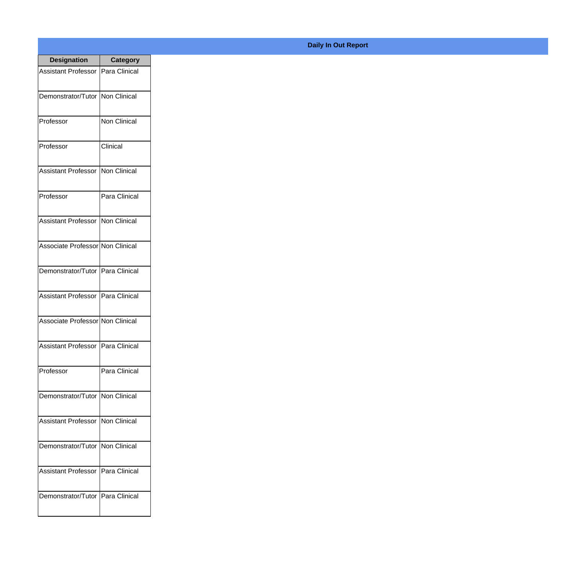| <b>Designation</b>                  | <b>Category</b>     |
|-------------------------------------|---------------------|
| Assistant Professor   Para Clinical |                     |
| Demonstrator/Tutor   Non Clinical   |                     |
| Professor                           | <b>Non Clinical</b> |
| Professor                           | Clinical            |
| <b>Assistant Professor</b>          | Non Clinical        |
| Professor                           | Para Clinical       |
| <b>Assistant Professor</b>          | Non Clinical        |
| Associate Professor Non Clinical    |                     |
| Demonstrator/Tutor   Para Clinical  |                     |
| <b>Assistant Professor</b>          | Para Clinical       |
| Associate Professor Non Clinical    |                     |
| Assistant Professor   Para Clinical |                     |
| Professor                           | Para Clinical       |
| Demonstrator/Tutor   Non Clinical   |                     |
| <b>Assistant Professor</b>          | Non Clinical        |
| Demonstrator/Tutor                  | <b>Non Clinical</b> |
| <b>Assistant Professor</b>          | Para Clinical       |
| Demonstrator/Tutor   Para Clinical  |                     |

## **Daily In Out Report**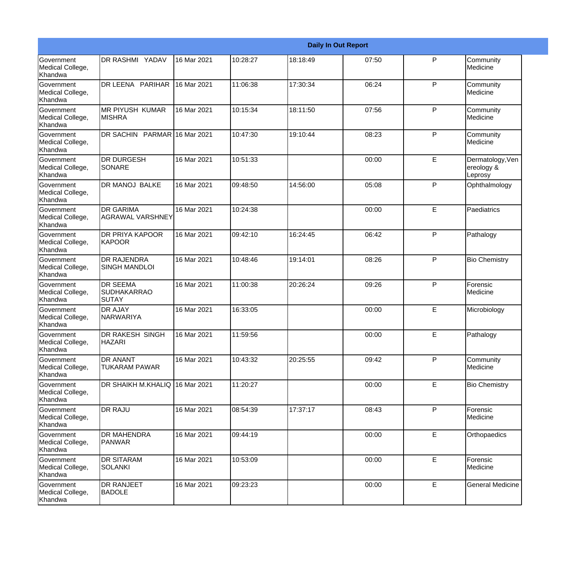|                                                  |                                                       |             |          |          | <b>Daily In Out Report</b> |   |                                           |
|--------------------------------------------------|-------------------------------------------------------|-------------|----------|----------|----------------------------|---|-------------------------------------------|
| Government<br>Medical College,<br>Khandwa        | <b>DR RASHMI YADAV</b>                                | 16 Mar 2021 | 10:28:27 | 18:18:49 | 07:50                      | P | Community<br>Medicine                     |
| Government<br>Medical College,<br>Khandwa        | DR LEENA PARIHAR                                      | 16 Mar 2021 | 11:06:38 | 17:30:34 | 06:24                      | P | Community<br>Medicine                     |
| <b>Government</b><br>Medical College,<br>Khandwa | IMR PIYUSH KUMAR<br><b>MISHRA</b>                     | 16 Mar 2021 | 10:15:34 | 18:11:50 | 07:56                      | P | Community<br>Medicine                     |
| Government<br>Medical College,<br>Khandwa        | DR SACHIN PARMAR 16 Mar 2021                          |             | 10:47:30 | 19:10:44 | 08:23                      | P | Community<br>Medicine                     |
| Government<br>Medical College,<br>Khandwa        | <b>DR DURGESH</b><br><b>SONARE</b>                    | 16 Mar 2021 | 10:51:33 |          | 00:00                      | E | Dermatology, Ven<br>ereology &<br>Leprosy |
| Government<br>Medical College,<br>Khandwa        | <b>DR MANOJ BALKE</b>                                 | 16 Mar 2021 | 09:48:50 | 14:56:00 | 05:08                      | P | Ophthalmology                             |
| Government<br>Medical College,<br>Khandwa        | <b>IDR GARIMA</b><br>AGRAWAL VARSHNEY                 | 16 Mar 2021 | 10:24:38 |          | 00:00                      | E | Paediatrics                               |
| Government<br>Medical College,<br>Khandwa        | <b>DR PRIYA KAPOOR</b><br>KAPOOR                      | 16 Mar 2021 | 09:42:10 | 16:24:45 | 06:42                      | P | Pathalogy                                 |
| Government<br>Medical College,<br>Khandwa        | <b>DR RAJENDRA</b><br><b>SINGH MANDLOI</b>            | 16 Mar 2021 | 10:48:46 | 19:14:01 | 08:26                      | P | <b>Bio Chemistry</b>                      |
| Government<br>Medical College,<br>Khandwa        | <b>DR SEEMA</b><br><b>SUDHAKARRAO</b><br><b>SUTAY</b> | 16 Mar 2021 | 11:00:38 | 20:26:24 | 09:26                      | P | Forensic<br>Medicine                      |
| Government<br>Medical College,<br>Khandwa        | <b>DR AJAY</b><br><b>NARWARIYA</b>                    | 16 Mar 2021 | 16:33:05 |          | 00:00                      | E | Microbiology                              |
| Government<br>Medical College,<br>Khandwa        | <b>DR RAKESH SINGH</b><br><b>HAZARI</b>               | 16 Mar 2021 | 11:59:56 |          | 00:00                      | E | Pathalogy                                 |
| Government<br>Medical College,<br>Khandwa        | <b>DR ANANT</b><br><b>TUKARAM PAWAR</b>               | 16 Mar 2021 | 10:43:32 | 20:25:55 | 09:42                      | P | Community<br>Medicine                     |
| Government<br>Medical College,<br>Khandwa        | DR SHAIKH M.KHALIQ                                    | 16 Mar 2021 | 11:20:27 |          | 00:00                      | E | <b>Bio Chemistry</b>                      |
| Government<br>Medical College,<br>Khandwa        | <b>DR RAJU</b>                                        | 16 Mar 2021 | 08:54:39 | 17:37:17 | 08:43                      | P | Forensic<br>Medicine                      |
| Government<br>Medical College,<br>Khandwa        | <b>DR MAHENDRA</b><br><b>PANWAR</b>                   | 16 Mar 2021 | 09:44:19 |          | 00:00                      | E | Orthopaedics                              |
| Government<br>Medical College,<br>Khandwa        | <b>DR SITARAM</b><br><b>SOLANKI</b>                   | 16 Mar 2021 | 10:53:09 |          | 00:00                      | E | Forensic<br>Medicine                      |
| Government<br>Medical College,<br>Khandwa        | <b>DR RANJEET</b><br><b>BADOLE</b>                    | 16 Mar 2021 | 09:23:23 |          | 00:00                      | E | <b>General Medicine</b>                   |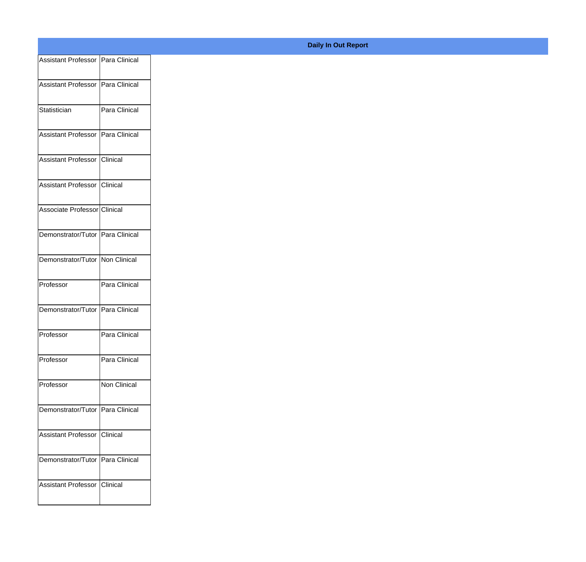| Assistant Professor   Para Clinical |                 |
|-------------------------------------|-----------------|
| Assistant Professor   Para Clinical |                 |
|                                     |                 |
| Statistician                        | Para Clinical   |
| Assistant Professor   Para Clinical |                 |
|                                     |                 |
| Assistant Professor                 | <b>Clinical</b> |
| Assistant Professor Clinical        |                 |
|                                     |                 |
| Associate Professor Clinical        |                 |
| Demonstrator/Tutor Para Clinical    |                 |
| Demonstrator/Tutor Non Clinical     |                 |
|                                     |                 |
| Professor                           | Para Clinical   |
| Demonstrator/Tutor Para Clinical    |                 |
|                                     |                 |
| Professor                           | Para Clinical   |
| Professor                           | Para Clinical   |
| Professor                           | Non Clinical    |
|                                     |                 |
| Demonstrator/Tutor Para Clinical    |                 |
| Assistant Professor Clinical        |                 |
|                                     |                 |
| Demonstrator/Tutor   Para Clinical  |                 |
| Assistant Professor Clinical        |                 |
|                                     |                 |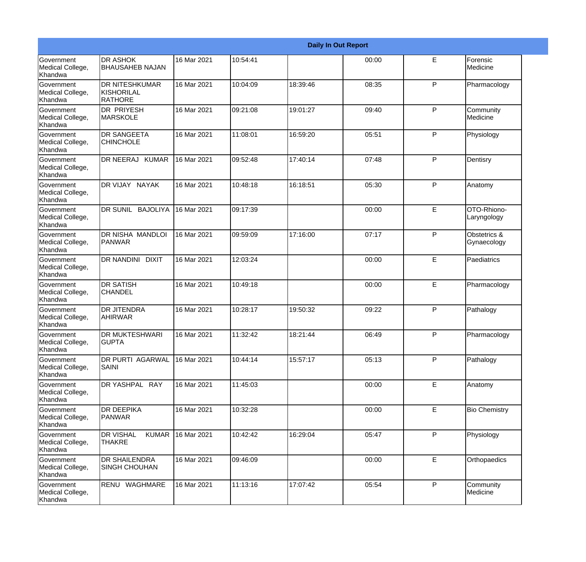|                                                  |                                                       |             |          |          | <b>Daily In Out Report</b> |              |                             |
|--------------------------------------------------|-------------------------------------------------------|-------------|----------|----------|----------------------------|--------------|-----------------------------|
| Government<br>Medical College,<br>Khandwa        | <b>DR ASHOK</b><br><b>BHAUSAHEB NAJAN</b>             | 16 Mar 2021 | 10:54:41 |          | 00:00                      | E            | Forensic<br>Medicine        |
| Government<br>Medical College,<br>Khandwa        | <b>DR NITESHKUMAR</b><br>KISHORILAL<br><b>RATHORE</b> | 16 Mar 2021 | 10:04:09 | 18:39:46 | 08:35                      | P            | Pharmacology                |
| <b>Government</b><br>Medical College,<br>Khandwa | <b>DR PRIYESH</b><br><b>MARSKOLE</b>                  | 16 Mar 2021 | 09:21:08 | 19:01:27 | 09:40                      | P            | Community<br>Medicine       |
| Government<br>Medical College,<br>Khandwa        | <b>DR SANGEETA</b><br><b>CHINCHOLE</b>                | 16 Mar 2021 | 11:08:01 | 16:59:20 | 05:51                      | P            | Physiology                  |
| Government<br>Medical College,<br>Khandwa        | DR NEERAJ KUMAR                                       | 16 Mar 2021 | 09:52:48 | 17:40:14 | 07:48                      | P            | Dentisry                    |
| Government<br>Medical College,<br>Khandwa        | DR VIJAY NAYAK                                        | 16 Mar 2021 | 10:48:18 | 16:18:51 | 05:30                      | P            | Anatomy                     |
| Government<br>Medical College,<br>Khandwa        | DR SUNIL BAJOLIYA                                     | 16 Mar 2021 | 09:17:39 |          | 00:00                      | E            | OTO-Rhiono-<br>Laryngology  |
| Government<br>Medical College,<br>Khandwa        | DR NISHA MANDLOI<br>PANWAR                            | 16 Mar 2021 | 09:59:09 | 17:16:00 | 07:17                      | $\mathsf{P}$ | Obstetrics &<br>Gynaecology |
| Government<br>Medical College,<br>Khandwa        | DR NANDINI DIXIT                                      | 16 Mar 2021 | 12:03:24 |          | 00:00                      | E            | Paediatrics                 |
| <b>Government</b><br>Medical College,<br>Khandwa | <b>DR SATISH</b><br><b>CHANDEL</b>                    | 16 Mar 2021 | 10:49:18 |          | 00:00                      | E            | Pharmacology                |
| <b>Government</b><br>Medical College,<br>Khandwa | <b>DR JITENDRA</b><br><b>AHIRWAR</b>                  | 16 Mar 2021 | 10:28:17 | 19:50:32 | 09:22                      | P            | Pathalogy                   |
| Government<br>Medical College,<br>Khandwa        | <b>DR MUKTESHWARI</b><br><b>GUPTA</b>                 | 16 Mar 2021 | 11:32:42 | 18:21:44 | 06:49                      | P            | Pharmacology                |
| Government<br>Medical College,<br>Khandwa        | DR PURTI AGARWAL<br><b>SAINI</b>                      | 16 Mar 2021 | 10:44:14 | 15:57:17 | 05:13                      | $\mathsf{P}$ | Pathalogy                   |
| Government<br>Medical College,<br>Khandwa        | DR YASHPAL RAY                                        | 16 Mar 2021 | 11:45:03 |          | 00:00                      | E            | Anatomy                     |
| Government<br>Medical College,<br>Khandwa        | <b>DR DEEPIKA</b><br>PANWAR                           | 16 Mar 2021 | 10:32:28 |          | 00:00                      | E            | <b>Bio Chemistry</b>        |
| Government<br>Medical College,<br>Khandwa        | <b>DR VISHAL</b><br><b>KUMAR</b><br><b>THAKRE</b>     | 16 Mar 2021 | 10:42:42 | 16:29:04 | 05:47                      | P            | Physiology                  |
| Government<br>Medical College,<br>Khandwa        | <b>DR SHAILENDRA</b><br><b>SINGH CHOUHAN</b>          | 16 Mar 2021 | 09:46:09 |          | 00:00                      | $\mathsf E$  | Orthopaedics                |
| Government<br>Medical College,<br>Khandwa        | RENU WAGHMARE                                         | 16 Mar 2021 | 11:13:16 | 17:07:42 | 05:54                      | $\mathsf{P}$ | Community<br>Medicine       |